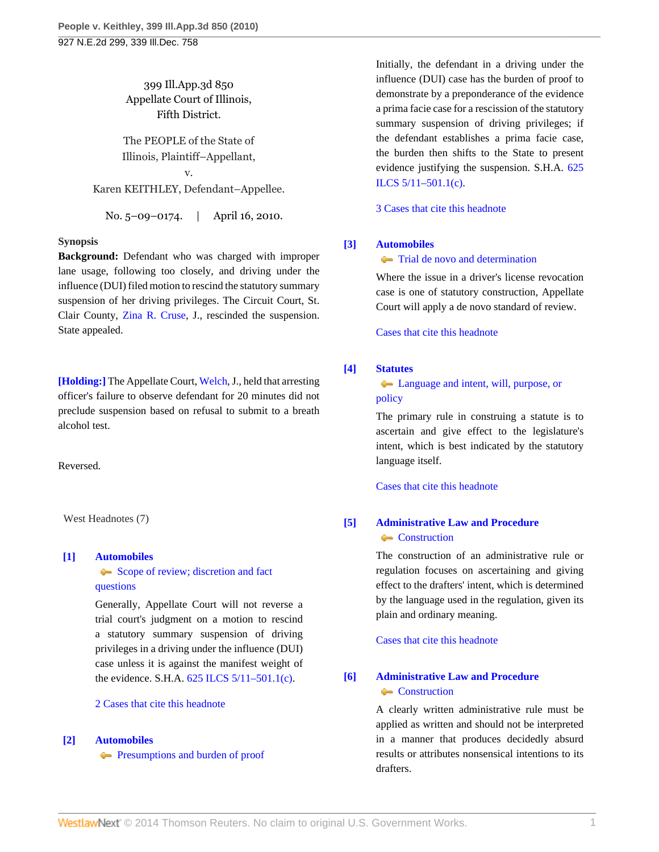399 Ill.App.3d 850 Appellate Court of Illinois, Fifth District.

The PEOPLE of the State of Illinois, Plaintiff–Appellant,

v. Karen KEITHLEY, Defendant–Appellee.

No. 5–09–0174. | April 16, 2010.

### **Synopsis**

**Background:** Defendant who was charged with improper lane usage, following too closely, and driving under the influence (DUI) filed motion to rescind the statutory summary suspension of her driving privileges. The Circuit Court, St. Clair County, [Zina R. Cruse,](http://www.westlaw.com/Link/Document/FullText?findType=h&pubNum=176284&cite=0282514201&originatingDoc=I17e4fb924e3511dfaad3d35f6227d4a8&refType=RQ&originationContext=document&vr=3.0&rs=cblt1.0&transitionType=DocumentItem&contextData=(sc.Search)) J., rescinded the suspension. State appealed.

**[\[Holding:\]](#page-1-0)** The Appellate Court, [Welch](http://www.westlaw.com/Link/Document/FullText?findType=h&pubNum=176284&cite=0212121101&originatingDoc=I17e4fb924e3511dfaad3d35f6227d4a8&refType=RQ&originationContext=document&vr=3.0&rs=cblt1.0&transitionType=DocumentItem&contextData=(sc.Search)), J., held that arresting officer's failure to observe defendant for 20 minutes did not preclude suspension based on refusal to submit to a breath alcohol test.

Reversed.

West Headnotes (7)

### <span id="page-0-0"></span>**[\[1\]](#page-2-0) [Automobiles](http://www.westlaw.com/Browse/Home/KeyNumber/48A/View.html?docGuid=I17e4fb924e3511dfaad3d35f6227d4a8&originationContext=document&vr=3.0&rs=cblt1.0&transitionType=DocumentItem&contextData=(sc.Search))**

[Scope of review; discretion and fact](http://www.westlaw.com/Browse/Home/KeyNumber/48Ak144.2(3)/View.html?docGuid=I17e4fb924e3511dfaad3d35f6227d4a8&originationContext=document&vr=3.0&rs=cblt1.0&transitionType=DocumentItem&contextData=(sc.Search)) [questions](http://www.westlaw.com/Browse/Home/KeyNumber/48Ak144.2(3)/View.html?docGuid=I17e4fb924e3511dfaad3d35f6227d4a8&originationContext=document&vr=3.0&rs=cblt1.0&transitionType=DocumentItem&contextData=(sc.Search))

Generally, Appellate Court will not reverse a trial court's judgment on a motion to rescind a statutory summary suspension of driving privileges in a driving under the influence (DUI) case unless it is against the manifest weight of the evidence. S.H.A. [625 ILCS 5/11–501.1\(c\).](http://www.westlaw.com/Link/Document/FullText?findType=L&pubNum=1000008&cite=IL625S5%2f11-501.1&originatingDoc=I17e4fb924e3511dfaad3d35f6227d4a8&refType=SP&originationContext=document&vr=3.0&rs=cblt1.0&transitionType=DocumentItem&contextData=(sc.Search)#co_pp_4b24000003ba5)

### [2 Cases that cite this headnote](http://www.westlaw.com/Link/RelatedInformation/DocHeadnoteLink?docGuid=I17e4fb924e3511dfaad3d35f6227d4a8&headnoteId=202181066300120130224082946&originationContext=document&vr=3.0&rs=cblt1.0&transitionType=CitingReferences&contextData=(sc.Search))

### <span id="page-0-1"></span>**[\[2\]](#page-2-1) [Automobiles](http://www.westlaw.com/Browse/Home/KeyNumber/48A/View.html?docGuid=I17e4fb924e3511dfaad3d35f6227d4a8&originationContext=document&vr=3.0&rs=cblt1.0&transitionType=DocumentItem&contextData=(sc.Search))**

**[Presumptions and burden of proof](http://www.westlaw.com/Browse/Home/KeyNumber/48Ak144.2(9.6)/View.html?docGuid=I17e4fb924e3511dfaad3d35f6227d4a8&originationContext=document&vr=3.0&rs=cblt1.0&transitionType=DocumentItem&contextData=(sc.Search))** 

Initially, the defendant in a driving under the influence (DUI) case has the burden of proof to demonstrate by a preponderance of the evidence a prima facie case for a rescission of the statutory summary suspension of driving privileges; if the defendant establishes a prima facie case, the burden then shifts to the State to present evidence justifying the suspension. S.H.A. [625](http://www.westlaw.com/Link/Document/FullText?findType=L&pubNum=1000008&cite=IL625S5%2f11-501.1&originatingDoc=I17e4fb924e3511dfaad3d35f6227d4a8&refType=SP&originationContext=document&vr=3.0&rs=cblt1.0&transitionType=DocumentItem&contextData=(sc.Search)#co_pp_4b24000003ba5) [ILCS 5/11–501.1\(c\)](http://www.westlaw.com/Link/Document/FullText?findType=L&pubNum=1000008&cite=IL625S5%2f11-501.1&originatingDoc=I17e4fb924e3511dfaad3d35f6227d4a8&refType=SP&originationContext=document&vr=3.0&rs=cblt1.0&transitionType=DocumentItem&contextData=(sc.Search)#co_pp_4b24000003ba5).

[3 Cases that cite this headnote](http://www.westlaw.com/Link/RelatedInformation/DocHeadnoteLink?docGuid=I17e4fb924e3511dfaad3d35f6227d4a8&headnoteId=202181066300220130224082946&originationContext=document&vr=3.0&rs=cblt1.0&transitionType=CitingReferences&contextData=(sc.Search))

### <span id="page-0-2"></span>**[\[3\]](#page-2-2) [Automobiles](http://www.westlaw.com/Browse/Home/KeyNumber/48A/View.html?docGuid=I17e4fb924e3511dfaad3d35f6227d4a8&originationContext=document&vr=3.0&rs=cblt1.0&transitionType=DocumentItem&contextData=(sc.Search))**

### **[Trial de novo and determination](http://www.westlaw.com/Browse/Home/KeyNumber/48Ak144.2(4)/View.html?docGuid=I17e4fb924e3511dfaad3d35f6227d4a8&originationContext=document&vr=3.0&rs=cblt1.0&transitionType=DocumentItem&contextData=(sc.Search))**

Where the issue in a driver's license revocation case is one of statutory construction, Appellate Court will apply a de novo standard of review.

[Cases that cite this headnote](http://www.westlaw.com/Link/RelatedInformation/DocHeadnoteLink?docGuid=I17e4fb924e3511dfaad3d35f6227d4a8&headnoteId=202181066300320130224082946&originationContext=document&vr=3.0&rs=cblt1.0&transitionType=CitingReferences&contextData=(sc.Search))

### <span id="page-0-3"></span>**[\[4\]](#page-3-0) [Statutes](http://www.westlaw.com/Browse/Home/KeyNumber/361/View.html?docGuid=I17e4fb924e3511dfaad3d35f6227d4a8&originationContext=document&vr=3.0&rs=cblt1.0&transitionType=DocumentItem&contextData=(sc.Search))**

**[Language and intent, will, purpose, or](http://www.westlaw.com/Browse/Home/KeyNumber/361k1080/View.html?docGuid=I17e4fb924e3511dfaad3d35f6227d4a8&originationContext=document&vr=3.0&rs=cblt1.0&transitionType=DocumentItem&contextData=(sc.Search))** [policy](http://www.westlaw.com/Browse/Home/KeyNumber/361k1080/View.html?docGuid=I17e4fb924e3511dfaad3d35f6227d4a8&originationContext=document&vr=3.0&rs=cblt1.0&transitionType=DocumentItem&contextData=(sc.Search))

The primary rule in construing a statute is to ascertain and give effect to the legislature's intent, which is best indicated by the statutory language itself.

[Cases that cite this headnote](http://www.westlaw.com/Link/RelatedInformation/DocHeadnoteLink?docGuid=I17e4fb924e3511dfaad3d35f6227d4a8&headnoteId=202181066300420130224082946&originationContext=document&vr=3.0&rs=cblt1.0&transitionType=CitingReferences&contextData=(sc.Search))

## <span id="page-0-4"></span>**[\[5\]](#page-3-1) [Administrative Law and Procedure](http://www.westlaw.com/Browse/Home/KeyNumber/15A/View.html?docGuid=I17e4fb924e3511dfaad3d35f6227d4a8&originationContext=document&vr=3.0&rs=cblt1.0&transitionType=DocumentItem&contextData=(sc.Search))** [Construction](http://www.westlaw.com/Browse/Home/KeyNumber/15Ak412/View.html?docGuid=I17e4fb924e3511dfaad3d35f6227d4a8&originationContext=document&vr=3.0&rs=cblt1.0&transitionType=DocumentItem&contextData=(sc.Search))

The construction of an administrative rule or regulation focuses on ascertaining and giving effect to the drafters' intent, which is determined by the language used in the regulation, given its plain and ordinary meaning.

[Cases that cite this headnote](http://www.westlaw.com/Link/RelatedInformation/DocHeadnoteLink?docGuid=I17e4fb924e3511dfaad3d35f6227d4a8&headnoteId=202181066300520130224082946&originationContext=document&vr=3.0&rs=cblt1.0&transitionType=CitingReferences&contextData=(sc.Search))

# <span id="page-0-5"></span>**[\[6\]](#page-3-2) [Administrative Law and Procedure](http://www.westlaw.com/Browse/Home/KeyNumber/15A/View.html?docGuid=I17e4fb924e3511dfaad3d35f6227d4a8&originationContext=document&vr=3.0&rs=cblt1.0&transitionType=DocumentItem&contextData=(sc.Search))**

## • [Construction](http://www.westlaw.com/Browse/Home/KeyNumber/15Ak412/View.html?docGuid=I17e4fb924e3511dfaad3d35f6227d4a8&originationContext=document&vr=3.0&rs=cblt1.0&transitionType=DocumentItem&contextData=(sc.Search))

A clearly written administrative rule must be applied as written and should not be interpreted in a manner that produces decidedly absurd results or attributes nonsensical intentions to its drafters.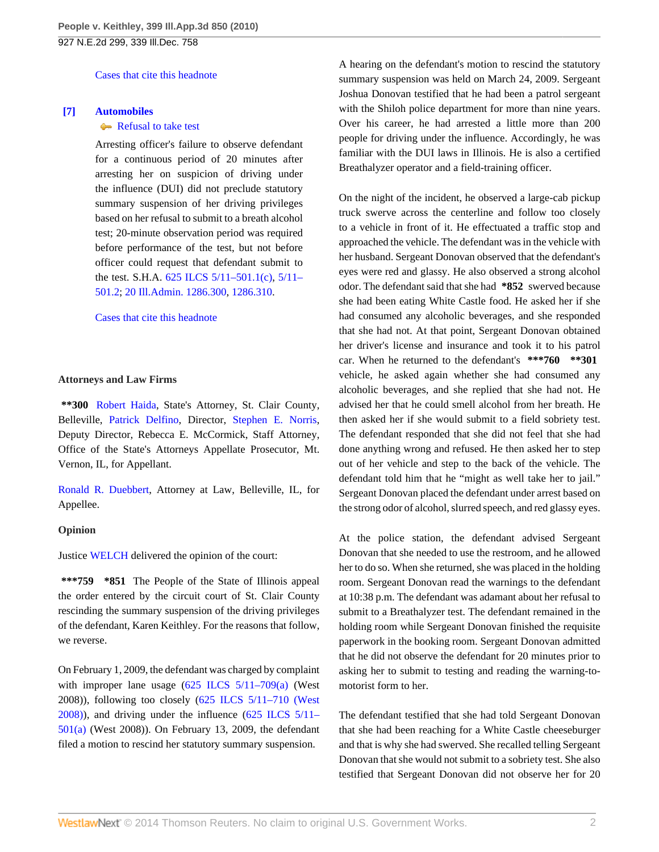[Cases that cite this headnote](http://www.westlaw.com/Link/RelatedInformation/DocHeadnoteLink?docGuid=I17e4fb924e3511dfaad3d35f6227d4a8&headnoteId=202181066300620130224082946&originationContext=document&vr=3.0&rs=cblt1.0&transitionType=CitingReferences&contextData=(sc.Search))

### <span id="page-1-0"></span>**[\[7\]](#page-3-3) [Automobiles](http://www.westlaw.com/Browse/Home/KeyNumber/48A/View.html?docGuid=I17e4fb924e3511dfaad3d35f6227d4a8&originationContext=document&vr=3.0&rs=cblt1.0&transitionType=DocumentItem&contextData=(sc.Search))**

### [Refusal to take test](http://www.westlaw.com/Browse/Home/KeyNumber/48Ak144.1(1.20)/View.html?docGuid=I17e4fb924e3511dfaad3d35f6227d4a8&originationContext=document&vr=3.0&rs=cblt1.0&transitionType=DocumentItem&contextData=(sc.Search))

Arresting officer's failure to observe defendant for a continuous period of 20 minutes after arresting her on suspicion of driving under the influence (DUI) did not preclude statutory summary suspension of her driving privileges based on her refusal to submit to a breath alcohol test; 20-minute observation period was required before performance of the test, but not before officer could request that defendant submit to the test. S.H.A. [625 ILCS 5/11–501.1\(c\)](http://www.westlaw.com/Link/Document/FullText?findType=L&pubNum=1000008&cite=IL625S5%2f11-501.1&originatingDoc=I17e4fb924e3511dfaad3d35f6227d4a8&refType=SP&originationContext=document&vr=3.0&rs=cblt1.0&transitionType=DocumentItem&contextData=(sc.Search)#co_pp_4b24000003ba5), [5/11–](http://www.westlaw.com/Link/Document/FullText?findType=L&pubNum=1000008&cite=IL625S5%2f11-501.2&originatingDoc=I17e4fb924e3511dfaad3d35f6227d4a8&refType=LQ&originationContext=document&vr=3.0&rs=cblt1.0&transitionType=DocumentItem&contextData=(sc.Search)) [501.2](http://www.westlaw.com/Link/Document/FullText?findType=L&pubNum=1000008&cite=IL625S5%2f11-501.2&originatingDoc=I17e4fb924e3511dfaad3d35f6227d4a8&refType=LQ&originationContext=document&vr=3.0&rs=cblt1.0&transitionType=DocumentItem&contextData=(sc.Search)); [20 Ill.Admin. 1286.300](http://www.westlaw.com/Link/Document/FullText?findType=L&pubNum=1005428&cite=20ILADC1286.300&originatingDoc=I17e4fb924e3511dfaad3d35f6227d4a8&refType=LQ&originationContext=document&vr=3.0&rs=cblt1.0&transitionType=DocumentItem&contextData=(sc.Search)), [1286.310.](http://www.westlaw.com/Link/Document/FullText?findType=L&pubNum=1005428&cite=20ILADC1286.310&originatingDoc=I17e4fb924e3511dfaad3d35f6227d4a8&refType=LQ&originationContext=document&vr=3.0&rs=cblt1.0&transitionType=DocumentItem&contextData=(sc.Search))

[Cases that cite this headnote](http://www.westlaw.com/Link/RelatedInformation/DocHeadnoteLink?docGuid=I17e4fb924e3511dfaad3d35f6227d4a8&headnoteId=202181066300720130224082946&originationContext=document&vr=3.0&rs=cblt1.0&transitionType=CitingReferences&contextData=(sc.Search))

### **Attorneys and Law Firms**

**\*\*300** [Robert Haida](http://www.westlaw.com/Link/Document/FullText?findType=h&pubNum=176284&cite=0163252601&originatingDoc=I17e4fb924e3511dfaad3d35f6227d4a8&refType=RQ&originationContext=document&vr=3.0&rs=cblt1.0&transitionType=DocumentItem&contextData=(sc.Search)), State's Attorney, St. Clair County, Belleville, [Patrick Delfino](http://www.westlaw.com/Link/Document/FullText?findType=h&pubNum=176284&cite=0201380001&originatingDoc=I17e4fb924e3511dfaad3d35f6227d4a8&refType=RQ&originationContext=document&vr=3.0&rs=cblt1.0&transitionType=DocumentItem&contextData=(sc.Search)), Director, [Stephen E. Norris](http://www.westlaw.com/Link/Document/FullText?findType=h&pubNum=176284&cite=0104510201&originatingDoc=I17e4fb924e3511dfaad3d35f6227d4a8&refType=RQ&originationContext=document&vr=3.0&rs=cblt1.0&transitionType=DocumentItem&contextData=(sc.Search)), Deputy Director, Rebecca E. McCormick, Staff Attorney, Office of the State's Attorneys Appellate Prosecutor, Mt. Vernon, IL, for Appellant.

[Ronald R. Duebbert,](http://www.westlaw.com/Link/Document/FullText?findType=h&pubNum=176284&cite=0295094001&originatingDoc=I17e4fb924e3511dfaad3d35f6227d4a8&refType=RQ&originationContext=document&vr=3.0&rs=cblt1.0&transitionType=DocumentItem&contextData=(sc.Search)) Attorney at Law, Belleville, IL, for Appellee.

### **Opinion**

Justice [WELCH](http://www.westlaw.com/Link/Document/FullText?findType=h&pubNum=176284&cite=0212121101&originatingDoc=I17e4fb924e3511dfaad3d35f6227d4a8&refType=RQ&originationContext=document&vr=3.0&rs=cblt1.0&transitionType=DocumentItem&contextData=(sc.Search)) delivered the opinion of the court:

**\*\*\*759 \*851** The People of the State of Illinois appeal the order entered by the circuit court of St. Clair County rescinding the summary suspension of the driving privileges of the defendant, Karen Keithley. For the reasons that follow, we reverse.

On February 1, 2009, the defendant was charged by complaint with improper lane usage  $(625$  ILCS  $5/11-709$ (a) (West 2008)), following too closely ([625 ILCS 5/11–710 \(West](http://www.westlaw.com/Link/Document/FullText?findType=L&pubNum=1000008&cite=IL625S5%2f11-710&originatingDoc=I17e4fb924e3511dfaad3d35f6227d4a8&refType=LQ&originationContext=document&vr=3.0&rs=cblt1.0&transitionType=DocumentItem&contextData=(sc.Search)) [2008\)](http://www.westlaw.com/Link/Document/FullText?findType=L&pubNum=1000008&cite=IL625S5%2f11-710&originatingDoc=I17e4fb924e3511dfaad3d35f6227d4a8&refType=LQ&originationContext=document&vr=3.0&rs=cblt1.0&transitionType=DocumentItem&contextData=(sc.Search))), and driving under the influence ([625 ILCS 5/11–](http://www.westlaw.com/Link/Document/FullText?findType=L&pubNum=1000008&cite=IL625S5%2f11-501&originatingDoc=I17e4fb924e3511dfaad3d35f6227d4a8&refType=SP&originationContext=document&vr=3.0&rs=cblt1.0&transitionType=DocumentItem&contextData=(sc.Search)#co_pp_8b3b0000958a4) [501\(a\)](http://www.westlaw.com/Link/Document/FullText?findType=L&pubNum=1000008&cite=IL625S5%2f11-501&originatingDoc=I17e4fb924e3511dfaad3d35f6227d4a8&refType=SP&originationContext=document&vr=3.0&rs=cblt1.0&transitionType=DocumentItem&contextData=(sc.Search)#co_pp_8b3b0000958a4) (West 2008)). On February 13, 2009, the defendant filed a motion to rescind her statutory summary suspension.

A hearing on the defendant's motion to rescind the statutory summary suspension was held on March 24, 2009. Sergeant Joshua Donovan testified that he had been a patrol sergeant with the Shiloh police department for more than nine years. Over his career, he had arrested a little more than 200 people for driving under the influence. Accordingly, he was familiar with the DUI laws in Illinois. He is also a certified Breathalyzer operator and a field-training officer.

On the night of the incident, he observed a large-cab pickup truck swerve across the centerline and follow too closely to a vehicle in front of it. He effectuated a traffic stop and approached the vehicle. The defendant was in the vehicle with her husband. Sergeant Donovan observed that the defendant's eyes were red and glassy. He also observed a strong alcohol odor. The defendant said that she had **\*852** swerved because she had been eating White Castle food. He asked her if she had consumed any alcoholic beverages, and she responded that she had not. At that point, Sergeant Donovan obtained her driver's license and insurance and took it to his patrol car. When he returned to the defendant's **\*\*\*760 \*\*301** vehicle, he asked again whether she had consumed any alcoholic beverages, and she replied that she had not. He advised her that he could smell alcohol from her breath. He then asked her if she would submit to a field sobriety test. The defendant responded that she did not feel that she had done anything wrong and refused. He then asked her to step out of her vehicle and step to the back of the vehicle. The defendant told him that he "might as well take her to jail." Sergeant Donovan placed the defendant under arrest based on the strong odor of alcohol, slurred speech, and red glassy eyes.

At the police station, the defendant advised Sergeant Donovan that she needed to use the restroom, and he allowed her to do so. When she returned, she was placed in the holding room. Sergeant Donovan read the warnings to the defendant at 10:38 p.m. The defendant was adamant about her refusal to submit to a Breathalyzer test. The defendant remained in the holding room while Sergeant Donovan finished the requisite paperwork in the booking room. Sergeant Donovan admitted that he did not observe the defendant for 20 minutes prior to asking her to submit to testing and reading the warning-tomotorist form to her.

The defendant testified that she had told Sergeant Donovan that she had been reaching for a White Castle cheeseburger and that is why she had swerved. She recalled telling Sergeant Donovan that she would not submit to a sobriety test. She also testified that Sergeant Donovan did not observe her for 20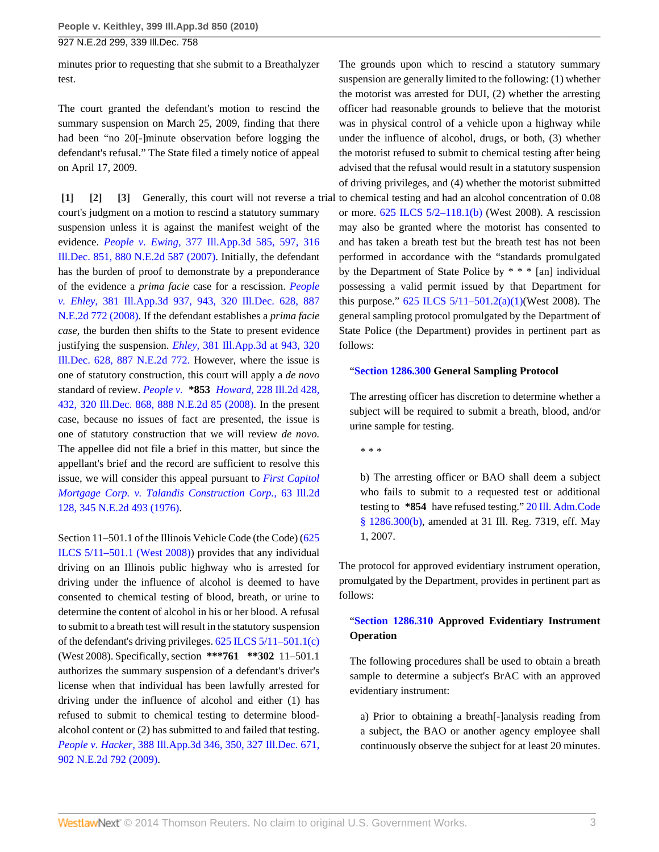**People v. Keithley, 399 Ill.App.3d 850 (2010)**

927 N.E.2d 299, 339 Ill.Dec. 758

minutes prior to requesting that she submit to a Breathalyzer test.

The court granted the defendant's motion to rescind the summary suspension on March 25, 2009, finding that there had been "no 20[-]minute observation before logging the defendant's refusal." The State filed a timely notice of appeal on April 17, 2009.

<span id="page-2-2"></span><span id="page-2-1"></span><span id="page-2-0"></span>**[\[1\]](#page-0-0) [\[2\]](#page-0-1) [\[3\]](#page-0-2)** Generally, this court will not reverse a trial to chemical testing and had an alcohol concentration of 0.08 court's judgment on a motion to rescind a statutory summary suspension unless it is against the manifest weight of the evidence. *People v. Ewing,* [377 Ill.App.3d 585, 597, 316](http://www.westlaw.com/Link/Document/FullText?findType=Y&serNum=2014315373&pubNum=578&originationContext=document&vr=3.0&rs=cblt1.0&transitionType=DocumentItem&contextData=(sc.Search)) [Ill.Dec. 851, 880 N.E.2d 587 \(2007\)](http://www.westlaw.com/Link/Document/FullText?findType=Y&serNum=2014315373&pubNum=578&originationContext=document&vr=3.0&rs=cblt1.0&transitionType=DocumentItem&contextData=(sc.Search)). Initially, the defendant has the burden of proof to demonstrate by a preponderance of the evidence a *prima facie* case for a rescission. *[People](http://www.westlaw.com/Link/Document/FullText?findType=Y&serNum=2015894602&pubNum=578&originationContext=document&vr=3.0&rs=cblt1.0&transitionType=DocumentItem&contextData=(sc.Search)) v. Ehley,* [381 Ill.App.3d 937, 943, 320 Ill.Dec. 628, 887](http://www.westlaw.com/Link/Document/FullText?findType=Y&serNum=2015894602&pubNum=578&originationContext=document&vr=3.0&rs=cblt1.0&transitionType=DocumentItem&contextData=(sc.Search)) [N.E.2d 772 \(2008\).](http://www.westlaw.com/Link/Document/FullText?findType=Y&serNum=2015894602&pubNum=578&originationContext=document&vr=3.0&rs=cblt1.0&transitionType=DocumentItem&contextData=(sc.Search)) If the defendant establishes a *prima facie case,* the burden then shifts to the State to present evidence justifying the suspension. *Ehley,* [381 Ill.App.3d at 943, 320](http://www.westlaw.com/Link/Document/FullText?findType=Y&serNum=2015894602&pubNum=578&originationContext=document&vr=3.0&rs=cblt1.0&transitionType=DocumentItem&contextData=(sc.Search)) [Ill.Dec. 628, 887 N.E.2d 772.](http://www.westlaw.com/Link/Document/FullText?findType=Y&serNum=2015894602&pubNum=578&originationContext=document&vr=3.0&rs=cblt1.0&transitionType=DocumentItem&contextData=(sc.Search)) However, where the issue is one of statutory construction, this court will apply a *de novo* standard of review. *People v.* **\*853** *Howard,* [228 Ill.2d 428,](http://www.westlaw.com/Link/Document/FullText?findType=Y&serNum=2015810649&pubNum=578&originationContext=document&vr=3.0&rs=cblt1.0&transitionType=DocumentItem&contextData=(sc.Search)) [432, 320 Ill.Dec. 868, 888 N.E.2d 85 \(2008\).](http://www.westlaw.com/Link/Document/FullText?findType=Y&serNum=2015810649&pubNum=578&originationContext=document&vr=3.0&rs=cblt1.0&transitionType=DocumentItem&contextData=(sc.Search)) In the present case, because no issues of fact are presented, the issue is one of statutory construction that we will review *de novo.* The appellee did not file a brief in this matter, but since the appellant's brief and the record are sufficient to resolve this issue, we will consider this appeal pursuant to *[First Capitol](http://www.westlaw.com/Link/Document/FullText?findType=Y&serNum=1976106934&pubNum=578&originationContext=document&vr=3.0&rs=cblt1.0&transitionType=DocumentItem&contextData=(sc.Search)) [Mortgage Corp. v. Talandis Construction Corp.,](http://www.westlaw.com/Link/Document/FullText?findType=Y&serNum=1976106934&pubNum=578&originationContext=document&vr=3.0&rs=cblt1.0&transitionType=DocumentItem&contextData=(sc.Search))* 63 Ill.2d [128, 345 N.E.2d 493 \(1976\)](http://www.westlaw.com/Link/Document/FullText?findType=Y&serNum=1976106934&pubNum=578&originationContext=document&vr=3.0&rs=cblt1.0&transitionType=DocumentItem&contextData=(sc.Search)).

Section 11–501.1 of the Illinois Vehicle Code (the Code) [\(625](http://www.westlaw.com/Link/Document/FullText?findType=L&pubNum=1000008&cite=IL625S5%2f11-501.1&originatingDoc=I17e4fb924e3511dfaad3d35f6227d4a8&refType=LQ&originationContext=document&vr=3.0&rs=cblt1.0&transitionType=DocumentItem&contextData=(sc.Search)) [ILCS 5/11–501.1 \(West 2008\)](http://www.westlaw.com/Link/Document/FullText?findType=L&pubNum=1000008&cite=IL625S5%2f11-501.1&originatingDoc=I17e4fb924e3511dfaad3d35f6227d4a8&refType=LQ&originationContext=document&vr=3.0&rs=cblt1.0&transitionType=DocumentItem&contextData=(sc.Search))) provides that any individual driving on an Illinois public highway who is arrested for driving under the influence of alcohol is deemed to have consented to chemical testing of blood, breath, or urine to determine the content of alcohol in his or her blood. A refusal to submit to a breath test will result in the statutory suspension of the defendant's driving privileges. [625 ILCS 5/11–501.1\(c\)](http://www.westlaw.com/Link/Document/FullText?findType=L&pubNum=1000008&cite=IL625S5%2f11-501.1&originatingDoc=I17e4fb924e3511dfaad3d35f6227d4a8&refType=SP&originationContext=document&vr=3.0&rs=cblt1.0&transitionType=DocumentItem&contextData=(sc.Search)#co_pp_4b24000003ba5) (West 2008). Specifically, section **\*\*\*761 \*\*302** 11–501.1 authorizes the summary suspension of a defendant's driver's license when that individual has been lawfully arrested for driving under the influence of alcohol and either (1) has refused to submit to chemical testing to determine bloodalcohol content or (2) has submitted to and failed that testing. *People v. Hacker,* [388 Ill.App.3d 346, 350, 327 Ill.Dec. 671,](http://www.westlaw.com/Link/Document/FullText?findType=Y&serNum=2018200375&pubNum=578&originationContext=document&vr=3.0&rs=cblt1.0&transitionType=DocumentItem&contextData=(sc.Search)) [902 N.E.2d 792 \(2009\)](http://www.westlaw.com/Link/Document/FullText?findType=Y&serNum=2018200375&pubNum=578&originationContext=document&vr=3.0&rs=cblt1.0&transitionType=DocumentItem&contextData=(sc.Search)).

The grounds upon which to rescind a statutory summary suspension are generally limited to the following: (1) whether the motorist was arrested for DUI, (2) whether the arresting officer had reasonable grounds to believe that the motorist was in physical control of a vehicle upon a highway while under the influence of alcohol, drugs, or both, (3) whether the motorist refused to submit to chemical testing after being advised that the refusal would result in a statutory suspension of driving privileges, and (4) whether the motorist submitted or more. [625 ILCS 5/2–118.1\(b\)](http://www.westlaw.com/Link/Document/FullText?findType=L&pubNum=1000008&cite=IL625S5%2f2-118.1&originatingDoc=I17e4fb924e3511dfaad3d35f6227d4a8&refType=SP&originationContext=document&vr=3.0&rs=cblt1.0&transitionType=DocumentItem&contextData=(sc.Search)#co_pp_a83b000018c76) (West 2008). A rescission may also be granted where the motorist has consented to and has taken a breath test but the breath test has not been performed in accordance with the "standards promulgated by the Department of State Police by \* \* \* [an] individual possessing a valid permit issued by that Department for this purpose."  $625$  ILCS  $5/11-501.2(a)(1)$  (West 2008). The general sampling protocol promulgated by the Department of State Police (the Department) provides in pertinent part as follows:

#### "**[Section 1286.300](http://www.westlaw.com/Link/Document/FullText?findType=L&pubNum=1005428&cite=20ILADC1286.300&originatingDoc=I17e4fb924e3511dfaad3d35f6227d4a8&refType=LQ&originationContext=document&vr=3.0&rs=cblt1.0&transitionType=DocumentItem&contextData=(sc.Search)) General Sampling Protocol**

The arresting officer has discretion to determine whether a subject will be required to submit a breath, blood, and/or urine sample for testing.

\* \* \*

b) The arresting officer or BAO shall deem a subject who fails to submit to a requested test or additional testing to **\*854** have refused testing." [20 Ill. Adm.Code](http://www.westlaw.com/Link/Document/FullText?findType=L&pubNum=1005428&cite=20ILADC1286.300&originatingDoc=I17e4fb924e3511dfaad3d35f6227d4a8&refType=LQ&originationContext=document&vr=3.0&rs=cblt1.0&transitionType=DocumentItem&contextData=(sc.Search)) [§ 1286.300\(b\)](http://www.westlaw.com/Link/Document/FullText?findType=L&pubNum=1005428&cite=20ILADC1286.300&originatingDoc=I17e4fb924e3511dfaad3d35f6227d4a8&refType=LQ&originationContext=document&vr=3.0&rs=cblt1.0&transitionType=DocumentItem&contextData=(sc.Search)), amended at 31 Ill. Reg. 7319, eff. May 1, 2007.

The protocol for approved evidentiary instrument operation, promulgated by the Department, provides in pertinent part as follows:

### "**[Section 1286.310](http://www.westlaw.com/Link/Document/FullText?findType=L&pubNum=1005428&cite=20ILADC1286.310&originatingDoc=I17e4fb924e3511dfaad3d35f6227d4a8&refType=LQ&originationContext=document&vr=3.0&rs=cblt1.0&transitionType=DocumentItem&contextData=(sc.Search)) Approved Evidentiary Instrument Operation**

The following procedures shall be used to obtain a breath sample to determine a subject's BrAC with an approved evidentiary instrument:

a) Prior to obtaining a breath[-]analysis reading from a subject, the BAO or another agency employee shall continuously observe the subject for at least 20 minutes.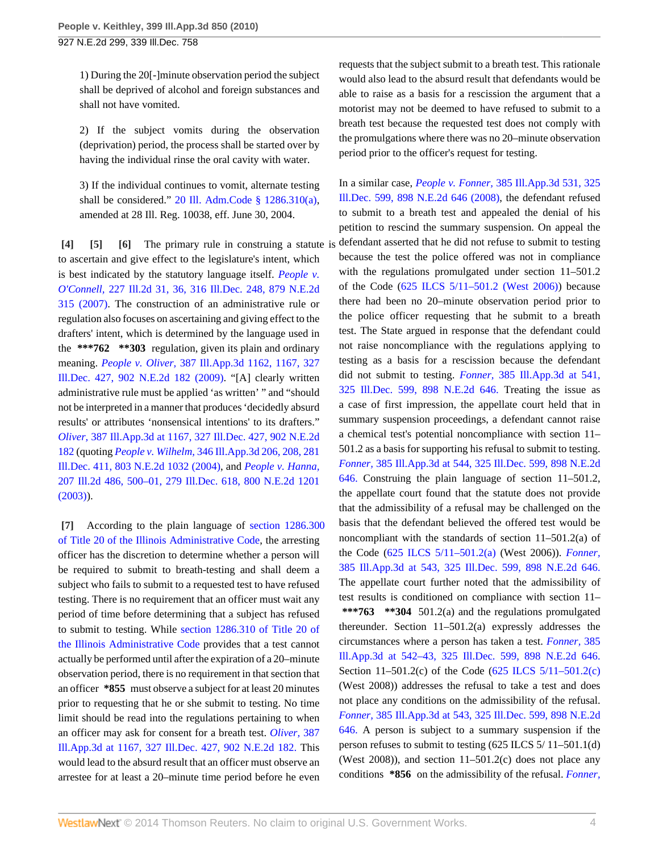1) During the 20[-]minute observation period the subject shall be deprived of alcohol and foreign substances and shall not have vomited.

2) If the subject vomits during the observation (deprivation) period, the process shall be started over by having the individual rinse the oral cavity with water.

<span id="page-3-2"></span>3) If the individual continues to vomit, alternate testing shall be considered." [20 Ill. Adm.Code § 1286.310\(a\)](http://www.westlaw.com/Link/Document/FullText?findType=L&pubNum=1005428&cite=20ILADC1286.310&originatingDoc=I17e4fb924e3511dfaad3d35f6227d4a8&refType=LQ&originationContext=document&vr=3.0&rs=cblt1.0&transitionType=DocumentItem&contextData=(sc.Search)), amended at 28 Ill. Reg. 10038, eff. June 30, 2004.

<span id="page-3-1"></span><span id="page-3-0"></span>**[\[4\]](#page-0-3) [\[5\]](#page-0-4) [\[6\]](#page-0-5)** The primary rule in construing a statute is to ascertain and give effect to the legislature's intent, which is best indicated by the statutory language itself. *[People v.](http://www.westlaw.com/Link/Document/FullText?findType=Y&serNum=2014214835&pubNum=578&originationContext=document&vr=3.0&rs=cblt1.0&transitionType=DocumentItem&contextData=(sc.Search)) O'Connell,* [227 Ill.2d 31, 36, 316 Ill.Dec. 248, 879 N.E.2d](http://www.westlaw.com/Link/Document/FullText?findType=Y&serNum=2014214835&pubNum=578&originationContext=document&vr=3.0&rs=cblt1.0&transitionType=DocumentItem&contextData=(sc.Search)) [315 \(2007\)](http://www.westlaw.com/Link/Document/FullText?findType=Y&serNum=2014214835&pubNum=578&originationContext=document&vr=3.0&rs=cblt1.0&transitionType=DocumentItem&contextData=(sc.Search)). The construction of an administrative rule or regulation also focuses on ascertaining and giving effect to the drafters' intent, which is determined by the language used in the **\*\*\*762 \*\*303** regulation, given its plain and ordinary meaning. *People v. Oliver,* [387 Ill.App.3d 1162, 1167, 327](http://www.westlaw.com/Link/Document/FullText?findType=Y&serNum=2018121427&pubNum=578&originationContext=document&vr=3.0&rs=cblt1.0&transitionType=DocumentItem&contextData=(sc.Search)) [Ill.Dec. 427, 902 N.E.2d 182 \(2009\).](http://www.westlaw.com/Link/Document/FullText?findType=Y&serNum=2018121427&pubNum=578&originationContext=document&vr=3.0&rs=cblt1.0&transitionType=DocumentItem&contextData=(sc.Search)) "[A] clearly written administrative rule must be applied 'as written' " and "should not be interpreted in a manner that produces 'decidedly absurd results' or attributes 'nonsensical intentions' to its drafters." *Oliver,* [387 Ill.App.3d at 1167, 327 Ill.Dec. 427, 902 N.E.2d](http://www.westlaw.com/Link/Document/FullText?findType=Y&serNum=2018121427&pubNum=578&originationContext=document&vr=3.0&rs=cblt1.0&transitionType=DocumentItem&contextData=(sc.Search)) [182](http://www.westlaw.com/Link/Document/FullText?findType=Y&serNum=2018121427&pubNum=578&originationContext=document&vr=3.0&rs=cblt1.0&transitionType=DocumentItem&contextData=(sc.Search)) (quoting *People v. Wilhelm,* [346 Ill.App.3d 206, 208, 281](http://www.westlaw.com/Link/Document/FullText?findType=Y&serNum=2004094173&pubNum=578&originationContext=document&vr=3.0&rs=cblt1.0&transitionType=DocumentItem&contextData=(sc.Search)) [Ill.Dec. 411, 803 N.E.2d 1032 \(2004\),](http://www.westlaw.com/Link/Document/FullText?findType=Y&serNum=2004094173&pubNum=578&originationContext=document&vr=3.0&rs=cblt1.0&transitionType=DocumentItem&contextData=(sc.Search)) and *[People v. Hanna,](http://www.westlaw.com/Link/Document/FullText?findType=Y&serNum=2003709682&pubNum=578&originationContext=document&vr=3.0&rs=cblt1.0&transitionType=DocumentItem&contextData=(sc.Search))* [207 Ill.2d 486, 500–01, 279 Ill.Dec. 618, 800 N.E.2d 1201](http://www.westlaw.com/Link/Document/FullText?findType=Y&serNum=2003709682&pubNum=578&originationContext=document&vr=3.0&rs=cblt1.0&transitionType=DocumentItem&contextData=(sc.Search)) [\(2003\)\)](http://www.westlaw.com/Link/Document/FullText?findType=Y&serNum=2003709682&pubNum=578&originationContext=document&vr=3.0&rs=cblt1.0&transitionType=DocumentItem&contextData=(sc.Search)).

<span id="page-3-3"></span>**[\[7\]](#page-1-0)** According to the plain language of [section 1286.300](http://www.westlaw.com/Link/Document/FullText?findType=L&pubNum=1005428&cite=20ILADC1286.300&originatingDoc=I17e4fb924e3511dfaad3d35f6227d4a8&refType=LQ&originationContext=document&vr=3.0&rs=cblt1.0&transitionType=DocumentItem&contextData=(sc.Search)) [of Title 20 of the Illinois Administrative Code](http://www.westlaw.com/Link/Document/FullText?findType=L&pubNum=1005428&cite=20ILADC1286.300&originatingDoc=I17e4fb924e3511dfaad3d35f6227d4a8&refType=LQ&originationContext=document&vr=3.0&rs=cblt1.0&transitionType=DocumentItem&contextData=(sc.Search)), the arresting officer has the discretion to determine whether a person will be required to submit to breath-testing and shall deem a subject who fails to submit to a requested test to have refused testing. There is no requirement that an officer must wait any period of time before determining that a subject has refused to submit to testing. While [section 1286.310 of Title 20 of](http://www.westlaw.com/Link/Document/FullText?findType=L&pubNum=1005428&cite=20ILADC1286.310&originatingDoc=I17e4fb924e3511dfaad3d35f6227d4a8&refType=LQ&originationContext=document&vr=3.0&rs=cblt1.0&transitionType=DocumentItem&contextData=(sc.Search)) [the Illinois Administrative Code](http://www.westlaw.com/Link/Document/FullText?findType=L&pubNum=1005428&cite=20ILADC1286.310&originatingDoc=I17e4fb924e3511dfaad3d35f6227d4a8&refType=LQ&originationContext=document&vr=3.0&rs=cblt1.0&transitionType=DocumentItem&contextData=(sc.Search)) provides that a test cannot actually be performed until after the expiration of a 20–minute observation period, there is no requirement in that section that an officer **\*855** must observe a subject for at least 20 minutes prior to requesting that he or she submit to testing. No time limit should be read into the regulations pertaining to when an officer may ask for consent for a breath test. *[Oliver,](http://www.westlaw.com/Link/Document/FullText?findType=Y&serNum=2018121427&pubNum=578&originationContext=document&vr=3.0&rs=cblt1.0&transitionType=DocumentItem&contextData=(sc.Search))* 387 [Ill.App.3d at 1167, 327 Ill.Dec. 427, 902 N.E.2d 182.](http://www.westlaw.com/Link/Document/FullText?findType=Y&serNum=2018121427&pubNum=578&originationContext=document&vr=3.0&rs=cblt1.0&transitionType=DocumentItem&contextData=(sc.Search)) This would lead to the absurd result that an officer must observe an arrestee for at least a 20–minute time period before he even

requests that the subject submit to a breath test. This rationale would also lead to the absurd result that defendants would be able to raise as a basis for a rescission the argument that a motorist may not be deemed to have refused to submit to a breath test because the requested test does not comply with the promulgations where there was no 20–minute observation period prior to the officer's request for testing.

In a similar case, *People v. Fonner,* [385 Ill.App.3d 531, 325](http://www.westlaw.com/Link/Document/FullText?findType=Y&serNum=2016867196&pubNum=578&originationContext=document&vr=3.0&rs=cblt1.0&transitionType=DocumentItem&contextData=(sc.Search)) [Ill.Dec. 599, 898 N.E.2d 646 \(2008\)](http://www.westlaw.com/Link/Document/FullText?findType=Y&serNum=2016867196&pubNum=578&originationContext=document&vr=3.0&rs=cblt1.0&transitionType=DocumentItem&contextData=(sc.Search)), the defendant refused to submit to a breath test and appealed the denial of his petition to rescind the summary suspension. On appeal the defendant asserted that he did not refuse to submit to testing because the test the police offered was not in compliance with the regulations promulgated under section  $11-501.2$ of the Code ([625 ILCS 5/11–501.2 \(West 2006\)\)](http://www.westlaw.com/Link/Document/FullText?findType=L&pubNum=1000008&cite=IL625S5%2f11-501.2&originatingDoc=I17e4fb924e3511dfaad3d35f6227d4a8&refType=LQ&originationContext=document&vr=3.0&rs=cblt1.0&transitionType=DocumentItem&contextData=(sc.Search)) because there had been no 20–minute observation period prior to the police officer requesting that he submit to a breath test. The State argued in response that the defendant could not raise noncompliance with the regulations applying to testing as a basis for a rescission because the defendant did not submit to testing. *Fonner,* [385 Ill.App.3d at 541,](http://www.westlaw.com/Link/Document/FullText?findType=Y&serNum=2016867196&pubNum=578&originationContext=document&vr=3.0&rs=cblt1.0&transitionType=DocumentItem&contextData=(sc.Search)) [325 Ill.Dec. 599, 898 N.E.2d 646.](http://www.westlaw.com/Link/Document/FullText?findType=Y&serNum=2016867196&pubNum=578&originationContext=document&vr=3.0&rs=cblt1.0&transitionType=DocumentItem&contextData=(sc.Search)) Treating the issue as a case of first impression, the appellate court held that in summary suspension proceedings, a defendant cannot raise a chemical test's potential noncompliance with section 11– 501.2 as a basis for supporting his refusal to submit to testing. *Fonner,* [385 Ill.App.3d at 544, 325 Ill.Dec. 599, 898 N.E.2d](http://www.westlaw.com/Link/Document/FullText?findType=Y&serNum=2016867196&pubNum=578&originationContext=document&vr=3.0&rs=cblt1.0&transitionType=DocumentItem&contextData=(sc.Search)) [646.](http://www.westlaw.com/Link/Document/FullText?findType=Y&serNum=2016867196&pubNum=578&originationContext=document&vr=3.0&rs=cblt1.0&transitionType=DocumentItem&contextData=(sc.Search)) Construing the plain language of section 11–501.2, the appellate court found that the statute does not provide that the admissibility of a refusal may be challenged on the basis that the defendant believed the offered test would be noncompliant with the standards of section 11–501.2(a) of the Code ([625 ILCS 5/11–501.2\(a\)](http://www.westlaw.com/Link/Document/FullText?findType=L&pubNum=1000008&cite=IL625S5%2f11-501.2&originatingDoc=I17e4fb924e3511dfaad3d35f6227d4a8&refType=SP&originationContext=document&vr=3.0&rs=cblt1.0&transitionType=DocumentItem&contextData=(sc.Search)#co_pp_8b3b0000958a4) (West 2006)). *[Fonner,](http://www.westlaw.com/Link/Document/FullText?findType=Y&serNum=2016867196&pubNum=578&originationContext=document&vr=3.0&rs=cblt1.0&transitionType=DocumentItem&contextData=(sc.Search))* [385 Ill.App.3d at 543, 325 Ill.Dec. 599, 898 N.E.2d 646.](http://www.westlaw.com/Link/Document/FullText?findType=Y&serNum=2016867196&pubNum=578&originationContext=document&vr=3.0&rs=cblt1.0&transitionType=DocumentItem&contextData=(sc.Search)) The appellate court further noted that the admissibility of test results is conditioned on compliance with section 11– **\*\*\*763 \*\*304** 501.2(a) and the regulations promulgated thereunder. Section 11–501.2(a) expressly addresses the circumstances where a person has taken a test. *[Fonner,](http://www.westlaw.com/Link/Document/FullText?findType=Y&serNum=2016867196&pubNum=578&originationContext=document&vr=3.0&rs=cblt1.0&transitionType=DocumentItem&contextData=(sc.Search))* 385 [Ill.App.3d at 542–43, 325 Ill.Dec. 599, 898 N.E.2d 646.](http://www.westlaw.com/Link/Document/FullText?findType=Y&serNum=2016867196&pubNum=578&originationContext=document&vr=3.0&rs=cblt1.0&transitionType=DocumentItem&contextData=(sc.Search)) Section 11–501.2(c) of the Code [\(625 ILCS 5/11–501.2\(c\)](http://www.westlaw.com/Link/Document/FullText?findType=L&pubNum=1000008&cite=IL625S5%2f11-501.2&originatingDoc=I17e4fb924e3511dfaad3d35f6227d4a8&refType=SP&originationContext=document&vr=3.0&rs=cblt1.0&transitionType=DocumentItem&contextData=(sc.Search)#co_pp_4b24000003ba5) (West 2008)) addresses the refusal to take a test and does not place any conditions on the admissibility of the refusal. *Fonner,* [385 Ill.App.3d at 543, 325 Ill.Dec. 599, 898 N.E.2d](http://www.westlaw.com/Link/Document/FullText?findType=Y&serNum=2016867196&pubNum=578&originationContext=document&vr=3.0&rs=cblt1.0&transitionType=DocumentItem&contextData=(sc.Search)) [646.](http://www.westlaw.com/Link/Document/FullText?findType=Y&serNum=2016867196&pubNum=578&originationContext=document&vr=3.0&rs=cblt1.0&transitionType=DocumentItem&contextData=(sc.Search)) A person is subject to a summary suspension if the person refuses to submit to testing (625 ILCS 5/ 11–501.1(d) (West 2008)), and section  $11-501.2(c)$  does not place any conditions **\*856** on the admissibility of the refusal. *[Fonner,](http://www.westlaw.com/Link/Document/FullText?findType=Y&serNum=2016867196&pubNum=578&originationContext=document&vr=3.0&rs=cblt1.0&transitionType=DocumentItem&contextData=(sc.Search))*